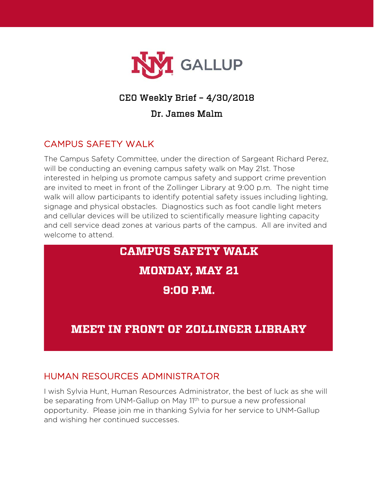

## CEO Weekly Brief – 4/30/2018

#### Dr. James Malm

## CAMPUS SAFETY WALK

The Campus Safety Committee, under the direction of Sargeant Richard Perez, will be conducting an evening campus safety walk on May 21st. Those interested in helping us promote campus safety and support crime prevention are invited to meet in front of the Zollinger Library at 9:00 p.m. The night time walk will allow participants to identify potential safety issues including lighting, signage and physical obstacles. Diagnostics such as foot candle light meters and cellular devices will be utilized to scientifically measure lighting capacity and cell service dead zones at various parts of the campus. All are invited and welcome to attend.

# **CAMPUS SAFETY WALK MONDAY, MAY 21**  $9:00$  P.M. **MEET IN FRONT OF ZOLLINGER LIBRARY**

#### HUMAN RESOURCES ADMINISTRATOR

I wish Sylvia Hunt, Human Resources Administrator, the best of luck as she will be separating from UNM-Gallup on May 11<sup>th</sup> to pursue a new professional opportunity. Please join me in thanking Sylvia for her service to UNM-Gallup and wishing her continued successes.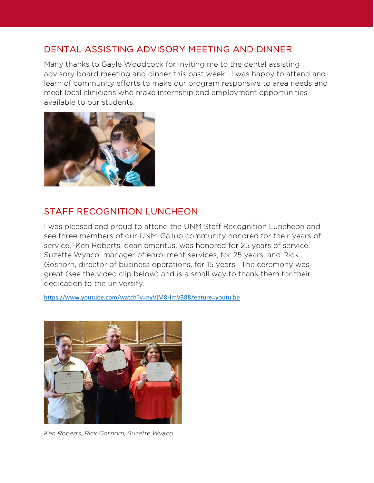#### DENTAL ASSISTING ADVISORY MEETING AND DINNER

Many thanks to Gayle Woodcock for inviting me to the dental assisting advisory board meeting and dinner this past week. I was happy to attend and learn of community efforts to make our program responsive to area needs and meet local clinicians who make internship and employment opportunities available to our students.



#### STAFF RECOGNITION LUNCHEON

I was pleased and proud to attend the UNM Staff Recognition Luncheon and see three members of our UNM-Gallup community honored for their years of service. Ken Roberts, dean emeritus, was honored for 25 years of service, Suzette Wyaco, manager of enrollment services, for 25 years, and Rick Goshorn, director of business operations, for 15 years. The ceremony was great (see the video clip below) and is a small way to thank them for their dedication to the university.

<https://www.youtube.com/watch?v=nyVjM8HmV38&feature=youtu.be>



*Ken Roberts, Rick Goshorn, Suzette Wyaco*